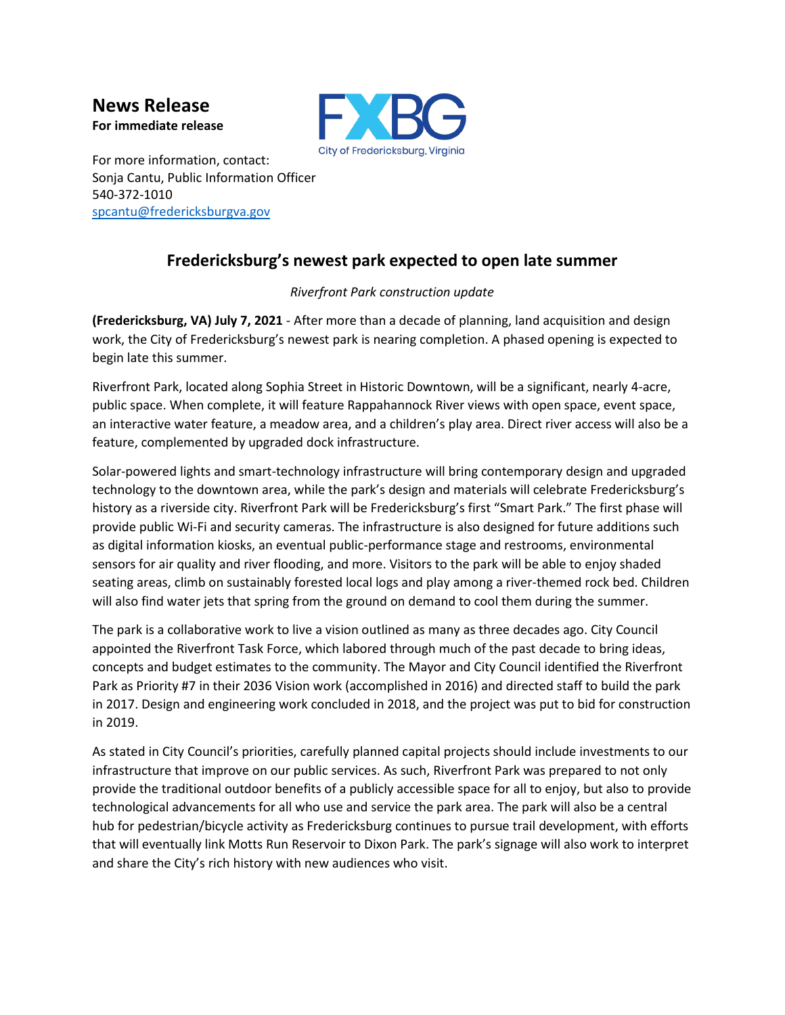**News Release For immediate release**



For more information, contact: Sonja Cantu, Public Information Officer 540-372-1010 [spcantu@fredericksburgva.gov](mailto:spcantu@fredericksburgva.gov)

## **Fredericksburg's newest park expected to open late summer**

## *Riverfront Park construction update*

**(Fredericksburg, VA) July 7, 2021** - After more than a decade of planning, land acquisition and design work, the City of Fredericksburg's newest park is nearing completion. A phased opening is expected to begin late this summer.

Riverfront Park, located along Sophia Street in Historic Downtown, will be a significant, nearly 4-acre, public space. When complete, it will feature Rappahannock River views with open space, event space, an interactive water feature, a meadow area, and a children's play area. Direct river access will also be a feature, complemented by upgraded dock infrastructure.

Solar-powered lights and smart-technology infrastructure will bring contemporary design and upgraded technology to the downtown area, while the park's design and materials will celebrate Fredericksburg's history as a riverside city. Riverfront Park will be Fredericksburg's first "Smart Park." The first phase will provide public Wi-Fi and security cameras. The infrastructure is also designed for future additions such as digital information kiosks, an eventual public-performance stage and restrooms, environmental sensors for air quality and river flooding, and more. Visitors to the park will be able to enjoy shaded seating areas, climb on sustainably forested local logs and play among a river-themed rock bed. Children will also find water jets that spring from the ground on demand to cool them during the summer.

The park is a collaborative work to live a vision outlined as many as three decades ago. City Council appointed the Riverfront Task Force, which labored through much of the past decade to bring ideas, concepts and budget estimates to the community. The Mayor and City Council identified the Riverfront Park as Priority #7 in their 2036 Vision work (accomplished in 2016) and directed staff to build the park in 2017. Design and engineering work concluded in 2018, and the project was put to bid for construction in 2019.

As stated in City Council's priorities, carefully planned capital projects should include investments to our infrastructure that improve on our public services. As such, Riverfront Park was prepared to not only provide the traditional outdoor benefits of a publicly accessible space for all to enjoy, but also to provide technological advancements for all who use and service the park area. The park will also be a central hub for pedestrian/bicycle activity as Fredericksburg continues to pursue trail development, with efforts that will eventually link Motts Run Reservoir to Dixon Park. The park's signage will also work to interpret and share the City's rich history with new audiences who visit.